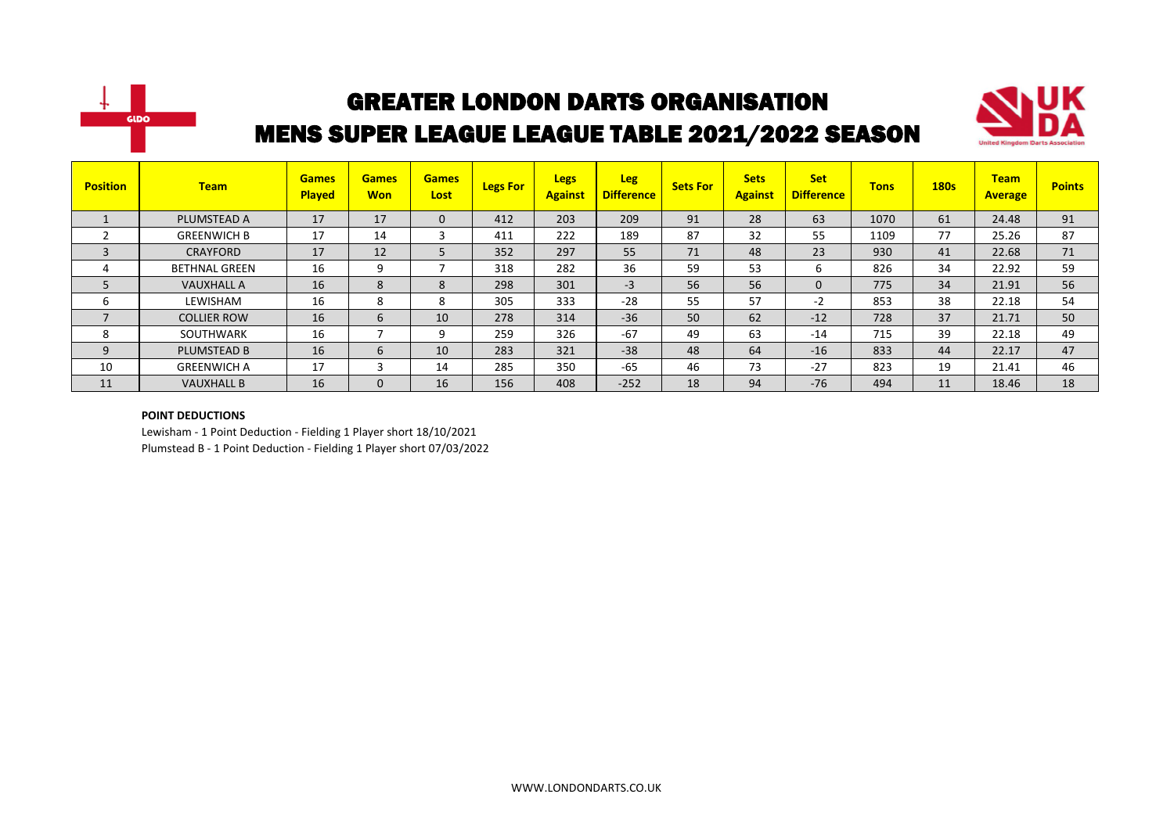



| <b>Position</b> | <b>Team</b>          | <b>Games</b><br><b>Played</b> | <b>Games</b><br><b>Won</b> | <b>Games</b><br>Lost | <b>Legs For</b> | <b>Legs</b><br><b>Against</b> | <b>Leg</b><br><b>Difference</b> | <b>Sets For</b> | <b>Sets</b><br><b>Against</b> | <b>Set</b><br><b>Difference</b> | <b>Tons</b> | <b>180s</b> | <b>Team</b><br><b>Average</b> | <b>Points</b> |
|-----------------|----------------------|-------------------------------|----------------------------|----------------------|-----------------|-------------------------------|---------------------------------|-----------------|-------------------------------|---------------------------------|-------------|-------------|-------------------------------|---------------|
|                 | PLUMSTEAD A          | 17                            | 17                         | 0                    | 412             | 203                           | 209                             | 91              | 28                            | 63                              | 1070        | 61          | 24.48                         | 91            |
| ຳ               | <b>GREENWICH B</b>   | 17                            | 14                         | 3                    | 411             | 222                           | 189                             | 87              | 32                            | 55                              | 1109        | 77          | 25.26                         | 87            |
| 3               | <b>CRAYFORD</b>      | 17                            | 12                         |                      | 352             | 297                           | 55                              | 71              | 48                            | 23                              | 930         | 41          | 22.68                         | 71            |
| 4               | <b>BETHNAL GREEN</b> | 16                            | 9                          |                      | 318             | 282                           | 36                              | 59              | 53                            | 6                               | 826         | 34          | 22.92                         | 59            |
|                 | <b>VAUXHALL A</b>    | 16                            | 8                          | 8                    | 298             | 301                           | $-3$                            | 56              | 56                            | $\mathbf{0}$                    | 775         | 34          | 21.91                         | 56            |
| 6               | LEWISHAM             | 16                            | 8                          | 8                    | 305             | 333                           | $-28$                           | 55              | 57                            | $-2$                            | 853         | 38          | 22.18                         | 54            |
| $\overline{ }$  | <b>COLLIER ROW</b>   | 16                            | 6                          | 10                   | 278             | 314                           | $-36$                           | 50              | 62                            | $-12$                           | 728         | 37          | 21.71                         | 50            |
| 8               | SOUTHWARK            | 16                            | ⇁                          | 9                    | 259             | 326                           | $-67$                           | 49              | 63                            | $-14$                           | 715         | 39          | 22.18                         | 49            |
| 9               | PLUMSTEAD B          | 16                            | 6                          | 10                   | 283             | 321                           | $-38$                           | 48              | 64                            | $-16$                           | 833         | 44          | 22.17                         | 47            |
| 10              | <b>GREENWICH A</b>   | 17                            | 3                          | 14                   | 285             | 350                           | $-65$                           | 46              | 73                            | $-27$                           | 823         | 19          | 21.41                         | 46            |
| 11              | <b>VAUXHALL B</b>    | 16                            | $\mathbf{0}$               | 16                   | 156             | 408                           | $-252$                          | 18              | 94                            | $-76$                           | 494         | 11          | 18.46                         | 18            |

#### **POINT DEDUCTIONS**

Lewisham - 1 Point Deduction - Fielding 1 Player short 18/10/2021 Plumstead B - 1 Point Deduction - Fielding 1 Player short 07/03/2022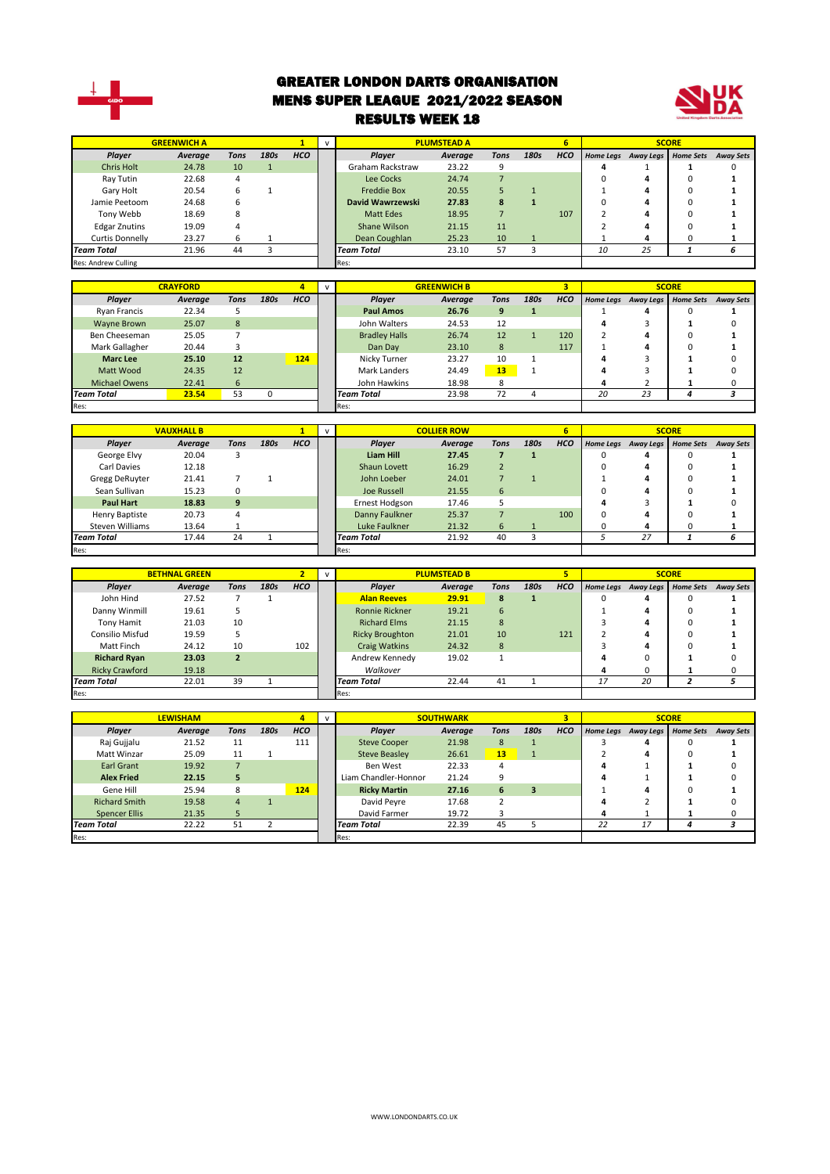

Res: Res:

#### GREATER LONDON DARTS ORGANISATION MENS SUPER LEAGUE 2021/2022 SEASON RESULTS WEEK 18



|                            | <b>GREENWICH A</b> |                |              | $\mathbf{1}$ | <b>PLUMSTEAD A</b><br>$\mathsf{v}$ |                         |                    |                 |                | 6          |                |                     |                  |                  |
|----------------------------|--------------------|----------------|--------------|--------------|------------------------------------|-------------------------|--------------------|-----------------|----------------|------------|----------------|---------------------|------------------|------------------|
| Player                     | Average            | <b>Tons</b>    | 180s         | <b>HCO</b>   |                                    | Player                  | Average            | <b>Tons</b>     | 180s           | <b>HCO</b> |                | Home Legs Away Legs | <b>Home Sets</b> | <b>Away Sets</b> |
| <b>Chris Holt</b>          | 24.78              | 10             | $\mathbf{1}$ |              |                                    | <b>Graham Rackstraw</b> | 23.22              | 9               |                |            | 4              | 1                   | 1                | $\Omega$         |
| Ray Tutin                  | 22.68              | 4              |              |              |                                    | Lee Cocks               | 24.74              | $\overline{7}$  |                |            | $\Omega$       | Δ                   | $\Omega$         | 1                |
| Gary Holt                  | 20.54              | 6              | $\mathbf{1}$ |              |                                    | <b>Freddie Box</b>      | 20.55              | 5               | $\mathbf{1}$   |            | 1              | Δ                   | 0                |                  |
| Jamie Peetoom              | 24.68              | 6              |              |              |                                    | David Wawrzewski        | 27.83              | 8               | $\mathbf{1}$   |            | $\Omega$       | Δ                   | $\Omega$         |                  |
| Tony Webb                  | 18.69              | 8              |              |              |                                    | <b>Matt Edes</b>        | 18.95              | $\overline{7}$  |                | 107        | $\overline{2}$ | Δ                   | O                |                  |
| <b>Edgar Znutins</b>       | 19.09              | 4              |              |              |                                    | Shane Wilson            | 21.15              | 11              |                |            | $\overline{2}$ | 4                   | $\Omega$         | 1                |
| <b>Curtis Donnelly</b>     | 23.27              | 6              | 1            |              |                                    | Dean Coughlan           | 25.23              | 10              | $\mathbf{1}$   |            | $\mathbf{1}$   | 4                   | 0                | 1                |
| <b>Team Total</b>          | 21.96              | 44             | 3            |              |                                    | <b>Team Total</b>       | 23.10              | 57              | 3              |            | 10             | 25                  | 1                | 6                |
| <b>Res: Andrew Culling</b> |                    |                |              |              |                                    | Res:                    |                    |                 |                |            |                |                     |                  |                  |
|                            |                    |                |              |              |                                    |                         |                    |                 |                |            |                |                     |                  |                  |
|                            | <b>CRAYFORD</b>    |                |              | 4            | v                                  |                         | <b>GREENWICH B</b> |                 |                | 3          |                |                     | <b>SCORE</b>     |                  |
| Player                     | Average            | <b>Tons</b>    | 180s         | <b>HCO</b>   |                                    | Player                  | Average            | <b>Tons</b>     | 180s           | <b>HCO</b> |                | Home Legs Away Legs | <b>Home Sets</b> | <b>Away Sets</b> |
| <b>Ryan Francis</b>        | 22.34              | 5              |              |              |                                    | <b>Paul Amos</b>        | 26.76              | $\mathbf{9}$    | $\mathbf{1}$   |            | 1              | 4                   | 0                | 1                |
| <b>Wayne Brown</b>         | 25.07              | 8              |              |              |                                    | John Walters            | 24.53              | 12              |                |            | 4              | R                   | 1                | $\Omega$         |
| Ben Cheeseman              | 25.05              | $\overline{7}$ |              |              |                                    | <b>Bradley Halls</b>    | 26.74              | 12              | $\mathbf{1}$   | 120        | 2              | 4                   | $\Omega$         | 1                |
| Mark Gallagher             | 20.44              | 3              |              |              |                                    | Dan Day                 | 23.10              | 8               |                | 117        | 1              | 4                   | $\Omega$         |                  |
| <b>Marc Lee</b>            | 25.10              | 12             |              | 124          |                                    | Nicky Turner            | 23.27              | 10              | 1              |            | Δ              | 3                   | 1                |                  |
| Matt Wood                  | 24.35              | 12             |              |              |                                    | <b>Mark Landers</b>     | 24.49              | 13              | $\mathbf{1}$   |            | 4              | 3                   | 1                |                  |
| <b>Michael Owens</b>       | 22.41              | 6              |              |              |                                    | John Hawkins            | 18.98              | 8               |                |            | 4              | $\overline{2}$      | 1                | $\Omega$         |
| <b>Team Total</b>          | 23.54              | 53             | $\mathbf 0$  |              |                                    | <b>Team Total</b>       | 23.98              | 72              | 4              |            | 20             | 23                  | 4                | 3                |
| Res:                       |                    |                |              |              |                                    | Res:                    |                    |                 |                |            |                |                     |                  |                  |
|                            |                    |                |              |              |                                    |                         |                    |                 |                |            |                |                     |                  |                  |
|                            | <b>VAUXHALL B</b>  |                |              | $\mathbf{1}$ | $\mathsf{v}$                       |                         | <b>COLLIER ROW</b> |                 |                | 6          |                |                     | <b>SCORE</b>     |                  |
| Player                     | Average            | <b>Tons</b>    | 180s         | <b>HCO</b>   |                                    | Player                  | Average            | <b>Tons</b>     | 180s           | <b>HCO</b> |                | Home Legs Away Legs | <b>Home Sets</b> | <b>Away Sets</b> |
| George Elvy                | 20.04              | 3              |              |              |                                    | <b>Liam Hill</b>        | 27.45              | $\overline{7}$  | $\mathbf{1}$   |            | 0              | 4                   | 0                | 1                |
| Carl Davies                | 12.18              |                |              |              |                                    | Shaun Lovett            | 16.29              | $\overline{2}$  |                |            | O              | Λ                   | 0                |                  |
| <b>Gregg DeRuyter</b>      | 21.41              | $\overline{7}$ | $\mathbf{1}$ |              |                                    | John Loeber             | 24.01              | $\overline{7}$  | $\mathbf{1}$   |            | 1              | 4                   | $\Omega$         |                  |
| Sean Sullivan              | 15.23              | 0              |              |              |                                    | <b>Joe Russell</b>      | 21.55              | $6\overline{6}$ |                |            | O              | Δ                   | $\Omega$         |                  |
| <b>Paul Hart</b>           | 18.83              | 9              |              |              |                                    | Ernest Hodgson          | 17.46              | 5               |                |            | 4              | 3                   | 1                | <sup>0</sup>     |
| Henry Baptiste             | 20.73              | 4              |              |              |                                    | Danny Faulkner          | 25.37              | $\overline{7}$  |                | 100        | 0              | Δ                   | 0                | 1                |
| <b>Steven Williams</b>     | 13.64              | 1              |              |              |                                    | Luke Faulkner           | 21.32              | 6               |                |            | $\Omega$       | 4                   | 0                | 1                |
| <b>Team Total</b>          | 17.44              | 24             | $\mathbf{1}$ |              |                                    | <b>Team Total</b>       | 21.92              | 40              | $\overline{3}$ |            | 5              | $\overline{27}$     | $\mathbf{1}$     | 6                |

|                       | <b>BETHNAL GREEN</b> |                          |      |            |                        | <b>PLUMSTEAD B</b> |             |      |            | <b>SCORE</b> |                     |                  |                  |  |
|-----------------------|----------------------|--------------------------|------|------------|------------------------|--------------------|-------------|------|------------|--------------|---------------------|------------------|------------------|--|
| <b>Player</b>         | Average              | <b>Tons</b>              | 180s | <b>HCO</b> | Plaver                 | Average            | <b>Tons</b> | 180s | <b>HCO</b> |              | Home Legs Away Legs | <b>Home Sets</b> | <b>Away Sets</b> |  |
| John Hind             | 27.52                |                          |      |            | <b>Alan Reeves</b>     | 29.91              | 8           |      |            |              | д                   |                  |                  |  |
| Danny Winmill         | 19.61                |                          |      |            | <b>Ronnie Rickner</b>  | 19.21              | 6           |      |            |              | 4                   | n                |                  |  |
| Tony Hamit            | 21.03                | 10                       |      |            | <b>Richard Elms</b>    | 21.15              | 8           |      |            |              | 4                   |                  |                  |  |
| Consilio Misfud       | 19.59                |                          |      |            | <b>Ricky Broughton</b> | 21.01              | 10          |      | 121        |              |                     |                  |                  |  |
| Matt Finch            | 24.12                | 10                       |      | 102        | Craig Watkins          | 24.32              | 8           |      |            |              | 4                   |                  |                  |  |
| <b>Richard Ryan</b>   | 23.03                | $\overline{\phantom{a}}$ |      |            | Andrew Kennedy         | 19.02              |             |      |            |              | O                   |                  |                  |  |
| <b>Ricky Crawford</b> | 19.18                |                          |      |            | Walkover               |                    |             |      |            | д            | O                   |                  |                  |  |
| <b>Team Total</b>     | 22.01                | 39                       |      |            | <b>Team Total</b>      | 22.44              | 41          |      |            | 17           | 20                  |                  |                  |  |
| Res:                  |                      |                          |      |            | Res:                   |                    |             |      |            |              |                     |                  |                  |  |

|                      | <b>LEWISHAM</b> |                |      | 4          | <b>SOUTHWARK</b><br>$\mathbf{v}$ |                               |         |             |      | 3          |    |                     |                  |                  |
|----------------------|-----------------|----------------|------|------------|----------------------------------|-------------------------------|---------|-------------|------|------------|----|---------------------|------------------|------------------|
| Player               | Average         | Tons           | 180s | <b>HCO</b> |                                  | <b>Plaver</b>                 | Average | <b>Tons</b> | 180s | <b>HCO</b> |    | Home Legs Away Legs | <b>Home Sets</b> | <b>Away Sets</b> |
| Raj Gujjalu          | 21.52           | 11             |      | 111        |                                  | <b>Steve Cooper</b>           | 21.98   | 8           |      |            |    |                     | ŋ                |                  |
| Matt Winzar          | 25.09           | 11             |      |            |                                  | <b>Steve Beasley</b><br>26.61 |         | 13          |      |            |    | д                   |                  |                  |
| Earl Grant           | 19.92           |                |      |            |                                  | 22.33<br>Ben West             |         |             |      |            |    |                     |                  |                  |
| <b>Alex Fried</b>    | 22.15           | 5              |      |            |                                  | Liam Chandler-Honnor          | 21.24   | 9           |      |            |    |                     |                  |                  |
| Gene Hill            | 25.94           | 8              |      | 124        |                                  | <b>Ricky Martin</b>           | 27.16   | 6           | 3    |            |    |                     |                  |                  |
| <b>Richard Smith</b> | 19.58           | $\overline{4}$ |      |            |                                  | David Peyre                   | 17.68   |             |      |            |    |                     |                  |                  |
| <b>Spencer Ellis</b> | 21.35           |                |      |            |                                  | David Farmer                  | 19.72   |             |      |            | д  |                     |                  |                  |
| <b>Team Total</b>    | 22.22           | 51             |      |            |                                  | <b>Team Total</b>             | 22.39   | 45          |      |            | 22 | 17                  | Λ                |                  |
| Res:                 |                 |                |      |            | Res:                             |                               |         |             |      |            |    |                     |                  |                  |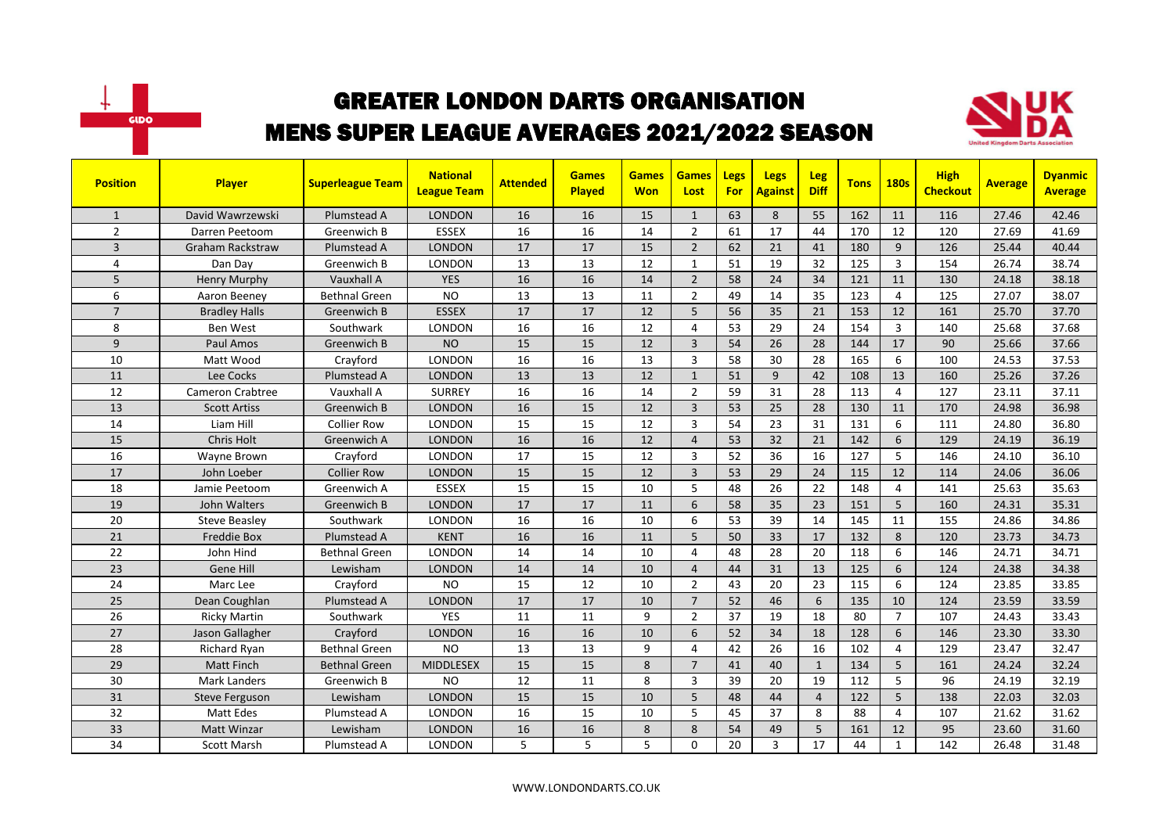



| <b>Position</b> | <b>Player</b>           | <b>Superleague Team</b> | <b>National</b><br><b>League Team</b> | <b>Attended</b> | <b>Games</b><br>Played | <b>Games</b><br><b>Won</b> | <b>Games</b><br>Lost | <b>Legs</b><br><b>For</b> | <b>Legs</b><br><b>Against</b> | <b>Leg</b><br><b>Diff</b> | <b>Tons</b> | <b>180s</b>    | <b>High</b><br><b>Checkout</b> | <b>Average</b> | <b>Dyanmic</b><br><b>Average</b> |
|-----------------|-------------------------|-------------------------|---------------------------------------|-----------------|------------------------|----------------------------|----------------------|---------------------------|-------------------------------|---------------------------|-------------|----------------|--------------------------------|----------------|----------------------------------|
| $\mathbf{1}$    | David Wawrzewski        | Plumstead A             | <b>LONDON</b>                         | 16              | 16                     | 15                         | $\mathbf{1}$         | 63                        | 8                             | 55                        | 162         | 11             | 116                            | 27.46          | 42.46                            |
| $\overline{2}$  | Darren Peetoom          | Greenwich B             | <b>ESSEX</b>                          | 16              | 16                     | 14                         | $\overline{2}$       | 61                        | 17                            | 44                        | 170         | 12             | 120                            | 27.69          | 41.69                            |
| 3               | <b>Graham Rackstraw</b> | Plumstead A             | <b>LONDON</b>                         | 17              | 17                     | 15                         | $\overline{2}$       | 62                        | 21                            | 41                        | 180         | 9              | 126                            | 25.44          | 40.44                            |
| $\overline{a}$  | Dan Day                 | Greenwich B             | <b>LONDON</b>                         | 13              | 13                     | 12                         | $\mathbf{1}$         | 51                        | 19                            | 32                        | 125         | 3              | 154                            | 26.74          | 38.74                            |
| 5               | <b>Henry Murphy</b>     | Vauxhall A              | <b>YES</b>                            | 16              | 16                     | 14                         | $\overline{2}$       | 58                        | 24                            | 34                        | 121         | 11             | 130                            | 24.18          | 38.18                            |
| 6               | Aaron Beeney            | <b>Bethnal Green</b>    | <b>NO</b>                             | 13              | 13                     | 11                         | $\overline{2}$       | 49                        | 14                            | 35                        | 123         | 4              | 125                            | 27.07          | 38.07                            |
| $\overline{7}$  | <b>Bradley Halls</b>    | Greenwich B             | <b>ESSEX</b>                          | 17              | 17                     | 12                         | 5                    | 56                        | 35                            | 21                        | 153         | 12             | 161                            | 25.70          | 37.70                            |
| 8               | Ben West                | Southwark               | <b>LONDON</b>                         | 16              | 16                     | 12                         | $\overline{4}$       | 53                        | 29                            | 24                        | 154         | $\overline{3}$ | 140                            | 25.68          | 37.68                            |
| 9               | Paul Amos               | Greenwich B             | <b>NO</b>                             | 15              | 15                     | 12                         | $\overline{3}$       | 54                        | 26                            | 28                        | 144         | 17             | 90                             | 25.66          | 37.66                            |
| 10              | Matt Wood               | Crayford                | <b>LONDON</b>                         | 16              | 16                     | 13                         | $\overline{3}$       | 58                        | 30                            | 28                        | 165         | 6              | 100                            | 24.53          | 37.53                            |
| 11              | Lee Cocks               | Plumstead A             | <b>LONDON</b>                         | 13              | 13                     | 12                         | $\mathbf{1}$         | 51                        | 9                             | 42                        | 108         | 13             | 160                            | 25.26          | 37.26                            |
| 12              | <b>Cameron Crabtree</b> | Vauxhall A              | <b>SURREY</b>                         | 16              | 16                     | 14                         | $\overline{2}$       | 59                        | 31                            | 28                        | 113         | $\overline{4}$ | 127                            | 23.11          | 37.11                            |
| 13              | <b>Scott Artiss</b>     | Greenwich B             | <b>LONDON</b>                         | 16              | 15                     | 12                         | $\overline{3}$       | 53                        | 25                            | 28                        | 130         | 11             | 170                            | 24.98          | 36.98                            |
| 14              | Liam Hill               | <b>Collier Row</b>      | <b>LONDON</b>                         | 15              | 15                     | 12                         | $\overline{3}$       | 54                        | 23                            | 31                        | 131         | 6              | 111                            | 24.80          | 36.80                            |
| 15              | Chris Holt              | Greenwich A             | <b>LONDON</b>                         | 16              | 16                     | 12                         | $\overline{a}$       | 53                        | 32                            | 21                        | 142         | 6              | 129                            | 24.19          | 36.19                            |
| 16              | Wayne Brown             | Crayford                | LONDON                                | 17              | 15                     | 12                         | 3                    | 52                        | 36                            | 16                        | 127         | 5              | 146                            | 24.10          | 36.10                            |
| 17              | John Loeber             | <b>Collier Row</b>      | <b>LONDON</b>                         | 15              | 15                     | 12                         | $\overline{3}$       | 53                        | 29                            | 24                        | 115         | 12             | 114                            | 24.06          | 36.06                            |
| 18              | Jamie Peetoom           | Greenwich A             | <b>ESSEX</b>                          | 15              | 15                     | 10                         | 5                    | 48                        | 26                            | 22                        | 148         | $\overline{4}$ | 141                            | 25.63          | 35.63                            |
| 19              | John Walters            | <b>Greenwich B</b>      | <b>LONDON</b>                         | 17              | 17                     | 11                         | 6                    | 58                        | 35                            | 23                        | 151         | 5              | 160                            | 24.31          | 35.31                            |
| 20              | <b>Steve Beasley</b>    | Southwark               | LONDON                                | 16              | 16                     | 10                         | 6                    | 53                        | 39                            | 14                        | 145         | 11             | 155                            | 24.86          | 34.86                            |
| 21              | <b>Freddie Box</b>      | Plumstead A             | <b>KENT</b>                           | 16              | 16                     | 11                         | 5                    | 50                        | 33                            | 17                        | 132         | 8              | 120                            | 23.73          | 34.73                            |
| 22              | John Hind               | <b>Bethnal Green</b>    | LONDON                                | 14              | 14                     | 10                         | 4                    | 48                        | 28                            | 20                        | 118         | 6              | 146                            | 24.71          | 34.71                            |
| 23              | Gene Hill               | Lewisham                | <b>LONDON</b>                         | 14              | 14                     | 10                         | $\overline{4}$       | 44                        | 31                            | 13                        | 125         | 6              | 124                            | 24.38          | 34.38                            |
| 24              | Marc Lee                | Crayford                | <b>NO</b>                             | 15              | 12                     | 10                         | $\overline{2}$       | 43                        | 20                            | 23                        | 115         | 6              | 124                            | 23.85          | 33.85                            |
| 25              | Dean Coughlan           | Plumstead A             | <b>LONDON</b>                         | 17              | 17                     | 10                         | $\overline{7}$       | 52                        | 46                            | 6                         | 135         | 10             | 124                            | 23.59          | 33.59                            |
| 26              | <b>Ricky Martin</b>     | Southwark               | <b>YES</b>                            | 11              | 11                     | 9                          | $\overline{2}$       | 37                        | 19                            | 18                        | 80          | $\overline{7}$ | 107                            | 24.43          | 33.43                            |
| 27              | Jason Gallagher         | Crayford                | <b>LONDON</b>                         | 16              | 16                     | 10                         | 6                    | 52                        | 34                            | 18                        | 128         | 6              | 146                            | 23.30          | 33.30                            |
| 28              | <b>Richard Ryan</b>     | <b>Bethnal Green</b>    | <b>NO</b>                             | 13              | 13                     | 9                          | 4                    | 42                        | 26                            | 16                        | 102         | 4              | 129                            | 23.47          | 32.47                            |
| 29              | Matt Finch              | <b>Bethnal Green</b>    | <b>MIDDLESEX</b>                      | 15              | 15                     | 8                          | $\overline{7}$       | 41                        | 40                            | $\mathbf{1}$              | 134         | 5              | 161                            | 24.24          | 32.24                            |
| 30              | Mark Landers            | Greenwich B             | <b>NO</b>                             | 12              | 11                     | 8                          | 3                    | 39                        | 20                            | 19                        | 112         | 5              | 96                             | 24.19          | 32.19                            |
| 31              | <b>Steve Ferguson</b>   | Lewisham                | <b>LONDON</b>                         | 15              | 15                     | 10                         | 5                    | 48                        | 44                            | $\overline{4}$            | 122         | 5              | 138                            | 22.03          | 32.03                            |
| 32              | Matt Edes               | Plumstead A             | <b>LONDON</b>                         | 16              | 15                     | 10                         | 5                    | 45                        | 37                            | 8                         | 88          | 4              | 107                            | 21.62          | 31.62                            |
| 33              | Matt Winzar             | Lewisham                | <b>LONDON</b>                         | 16              | 16                     | 8                          | 8                    | 54                        | 49                            | 5                         | 161         | 12             | 95                             | 23.60          | 31.60                            |
| 34              | <b>Scott Marsh</b>      | Plumstead A             | LONDON                                | 5               | 5                      | 5                          | 0                    | 20                        | 3                             | 17                        | 44          | $\mathbf{1}$   | 142                            | 26.48          | 31.48                            |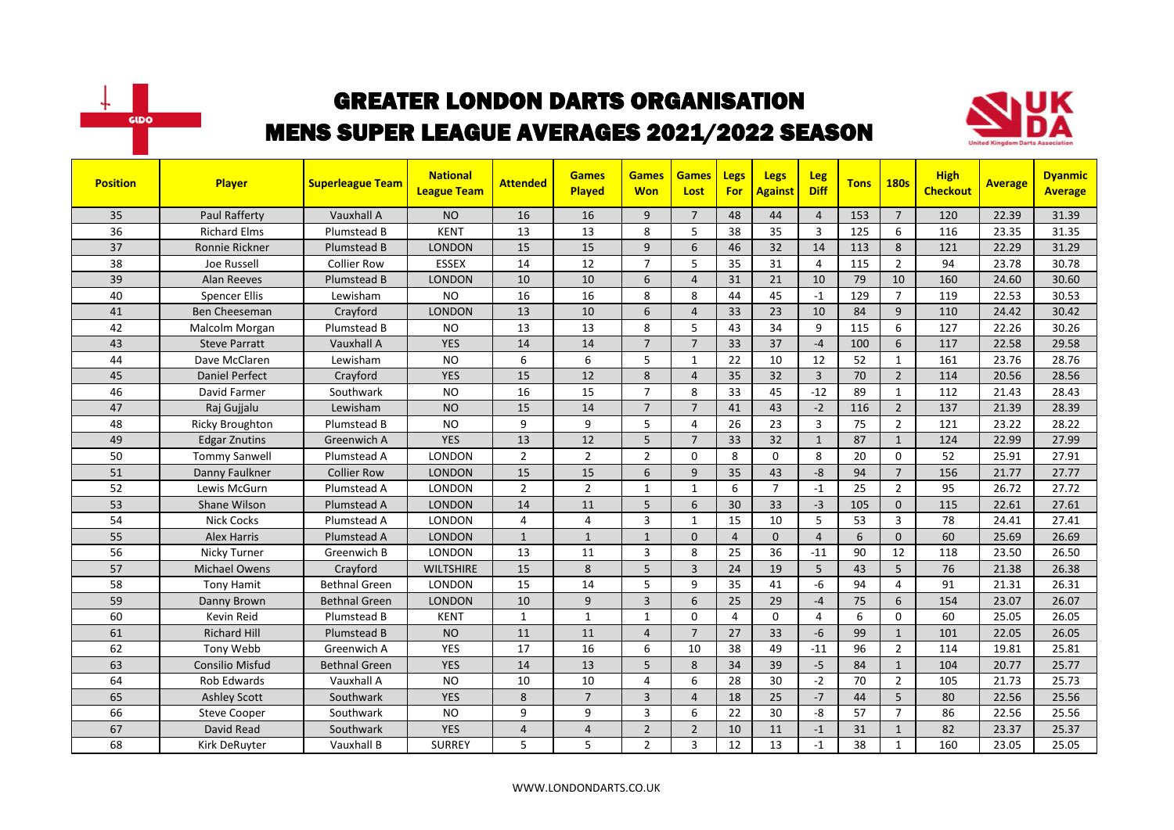



| <b>Position</b> | Player                 | <b>Superleague Team</b> | <b>National</b><br><b>League Team</b> | <b>Attended</b> | <b>Games</b><br>Played | <b>Games</b><br><b>Won</b> | <b>Games</b><br>Lost | Legs<br><b>For</b> | <b>Legs</b><br><b>Against</b> | <b>Leg</b><br><b>Diff</b> | <b>Tons</b> | <b>180s</b>    | <b>High</b><br><b>Checkout</b> | <b>Average</b> | <b>Dyanmic</b><br><b>Average</b> |
|-----------------|------------------------|-------------------------|---------------------------------------|-----------------|------------------------|----------------------------|----------------------|--------------------|-------------------------------|---------------------------|-------------|----------------|--------------------------------|----------------|----------------------------------|
| 35              | Paul Rafferty          | Vauxhall A              | <b>NO</b>                             | 16              | 16                     | 9                          | $\overline{7}$       | 48                 | 44                            | $\overline{4}$            | 153         | $\overline{7}$ | 120                            | 22.39          | 31.39                            |
| 36              | <b>Richard Elms</b>    | Plumstead B             | <b>KENT</b>                           | 13              | 13                     | 8                          | 5                    | 38                 | 35                            | $\overline{3}$            | 125         | 6              | 116                            | 23.35          | 31.35                            |
| 37              | Ronnie Rickner         | Plumstead B             | <b>LONDON</b>                         | 15              | 15                     | 9                          | 6                    | 46                 | 32                            | 14                        | 113         | 8              | 121                            | 22.29          | 31.29                            |
| 38              | Joe Russell            | <b>Collier Row</b>      | <b>ESSEX</b>                          | 14              | 12                     | $\overline{7}$             | 5                    | 35                 | 31                            | $\overline{4}$            | 115         | $\overline{2}$ | 94                             | 23.78          | 30.78                            |
| 39              | <b>Alan Reeves</b>     | Plumstead B             | <b>LONDON</b>                         | 10              | 10                     | 6                          | $\overline{4}$       | 31                 | 21                            | 10                        | 79          | 10             | 160                            | 24.60          | 30.60                            |
| 40              | <b>Spencer Ellis</b>   | Lewisham                | <b>NO</b>                             | 16              | 16                     | 8                          | 8                    | 44                 | 45                            | $-1$                      | 129         | $\overline{7}$ | 119                            | 22.53          | 30.53                            |
| 41              | <b>Ben Cheeseman</b>   | Crayford                | <b>LONDON</b>                         | 13              | 10                     | 6                          | $\overline{4}$       | 33                 | 23                            | 10                        | 84          | 9              | 110                            | 24.42          | 30.42                            |
| 42              | Malcolm Morgan         | Plumstead B             | <b>NO</b>                             | 13              | 13                     | 8                          | 5                    | 43                 | 34                            | 9                         | 115         | 6              | 127                            | 22.26          | 30.26                            |
| 43              | <b>Steve Parratt</b>   | Vauxhall A              | <b>YES</b>                            | 14              | 14                     | $\overline{7}$             | $\overline{7}$       | 33                 | 37                            | $-4$                      | 100         | 6              | 117                            | 22.58          | 29.58                            |
| 44              | Dave McClaren          | Lewisham                | <b>NO</b>                             | 6               | 6                      | 5                          | $\mathbf{1}$         | 22                 | 10                            | 12                        | 52          | $\mathbf{1}$   | 161                            | 23.76          | 28.76                            |
| 45              | <b>Daniel Perfect</b>  | Crayford                | <b>YES</b>                            | 15              | 12                     | 8                          | $\overline{4}$       | 35                 | 32                            | $\overline{3}$            | 70          | $\overline{2}$ | 114                            | 20.56          | 28.56                            |
| 46              | David Farmer           | Southwark               | <b>NO</b>                             | 16              | 15                     | $\overline{7}$             | 8                    | 33                 | 45                            | $-12$                     | 89          | $\mathbf{1}$   | 112                            | 21.43          | 28.43                            |
| 47              | Raj Gujjalu            | Lewisham                | <b>NO</b>                             | 15              | 14                     | $\overline{7}$             | $\overline{7}$       | 41                 | 43                            | $-2$                      | 116         | $\overline{2}$ | 137                            | 21.39          | 28.39                            |
| 48              | <b>Ricky Broughton</b> | Plumstead B             | <b>NO</b>                             | 9               | 9                      | 5                          | $\overline{4}$       | 26                 | 23                            | $\overline{3}$            | 75          | $\overline{2}$ | 121                            | 23.22          | 28.22                            |
| 49              | <b>Edgar Znutins</b>   | Greenwich A             | <b>YES</b>                            | 13              | 12                     | 5                          | $\overline{7}$       | 33                 | 32                            | $\mathbf{1}$              | 87          | $\mathbf{1}$   | 124                            | 22.99          | 27.99                            |
| 50              | <b>Tommy Sanwell</b>   | Plumstead A             | LONDON                                | $\overline{2}$  | $\overline{2}$         | $\overline{2}$             | $\Omega$             | 8                  | $\Omega$                      | 8                         | 20          | $\Omega$       | 52                             | 25.91          | 27.91                            |
| 51              | Danny Faulkner         | <b>Collier Row</b>      | <b>LONDON</b>                         | 15              | 15                     | 6                          | 9                    | 35                 | 43                            | $-8$                      | 94          | $\overline{7}$ | 156                            | 21.77          | 27.77                            |
| 52              | Lewis McGurn           | Plumstead A             | LONDON                                | $\overline{2}$  | $\overline{2}$         | 1                          | 1                    | 6                  | $\overline{7}$                | $-1$                      | 25          | $\overline{2}$ | 95                             | 26.72          | 27.72                            |
| 53              | Shane Wilson           | Plumstead A             | <b>LONDON</b>                         | 14              | 11                     | 5                          | 6                    | 30                 | 33                            | $-3$                      | 105         | $\mathbf 0$    | 115                            | 22.61          | 27.61                            |
| 54              | <b>Nick Cocks</b>      | Plumstead A             | <b>LONDON</b>                         | 4               | $\overline{4}$         | 3                          | $\mathbf{1}$         | 15                 | 10                            | 5                         | 53          | $\overline{3}$ | 78                             | 24.41          | 27.41                            |
| 55              | <b>Alex Harris</b>     | Plumstead A             | <b>LONDON</b>                         | $\mathbf{1}$    | $\mathbf{1}$           | $\mathbf{1}$               | $\Omega$             | $\overline{4}$     | $\Omega$                      | $\overline{4}$            | 6           | $\Omega$       | 60                             | 25.69          | 26.69                            |
| 56              | Nicky Turner           | Greenwich B             | <b>LONDON</b>                         | 13              | 11                     | 3                          | 8                    | 25                 | 36                            | $-11$                     | 90          | 12             | 118                            | 23.50          | 26.50                            |
| 57              | <b>Michael Owens</b>   | Crayford                | <b>WILTSHIRE</b>                      | 15              | 8                      | 5                          | 3                    | 24                 | 19                            | 5                         | 43          | 5              | 76                             | 21.38          | 26.38                            |
| 58              | <b>Tony Hamit</b>      | <b>Bethnal Green</b>    | <b>LONDON</b>                         | 15              | 14                     | 5                          | 9                    | 35                 | 41                            | $-6$                      | 94          | 4              | 91                             | 21.31          | 26.31                            |
| 59              | Danny Brown            | <b>Bethnal Green</b>    | <b>LONDON</b>                         | 10              | 9                      | $\overline{3}$             | 6                    | 25                 | 29                            | $-4$                      | 75          | 6              | 154                            | 23.07          | 26.07                            |
| 60              | Kevin Reid             | Plumstead B             | <b>KENT</b>                           | $\mathbf{1}$    | $\mathbf{1}$           | $\mathbf{1}$               | $\Omega$             | $\overline{4}$     | $\Omega$                      | 4                         | 6           | $\Omega$       | 60                             | 25.05          | 26.05                            |
| 61              | <b>Richard Hill</b>    | Plumstead B             | <b>NO</b>                             | 11              | 11                     | $\overline{4}$             | $\overline{7}$       | 27                 | 33                            | $-6$                      | 99          | $\mathbf{1}$   | 101                            | 22.05          | 26.05                            |
| 62              | Tony Webb              | Greenwich A             | <b>YES</b>                            | 17              | 16                     | 6                          | 10                   | 38                 | 49                            | $-11$                     | 96          | $\overline{2}$ | 114                            | 19.81          | 25.81                            |
| 63              | <b>Consilio Misfud</b> | <b>Bethnal Green</b>    | <b>YES</b>                            | 14              | 13                     | 5                          | 8                    | 34                 | 39                            | $-5$                      | 84          | $\mathbf{1}$   | 104                            | 20.77          | 25.77                            |
| 64              | <b>Rob Edwards</b>     | Vauxhall A              | <b>NO</b>                             | 10              | 10                     | 4                          | 6                    | 28                 | 30                            | $-2$                      | 70          | $\overline{2}$ | 105                            | 21.73          | 25.73                            |
| 65              | <b>Ashley Scott</b>    | Southwark               | <b>YES</b>                            | 8               | $\overline{7}$         | $\overline{3}$             | $\overline{4}$       | 18                 | 25                            | $-7$                      | 44          | 5              | 80                             | 22.56          | 25.56                            |
| 66              | <b>Steve Cooper</b>    | Southwark               | <b>NO</b>                             | 9               | 9                      | 3                          | 6                    | 22                 | 30                            | -8                        | 57          | $\overline{7}$ | 86                             | 22.56          | 25.56                            |
| 67              | David Read             | Southwark               | <b>YES</b>                            | 4               | $\overline{4}$         | $\overline{2}$             | $\overline{2}$       | 10                 | 11                            | $-1$                      | 31          | $\mathbf{1}$   | 82                             | 23.37          | 25.37                            |
| 68              | Kirk DeRuyter          | Vauxhall B              | <b>SURREY</b>                         | 5               | 5                      | $\overline{2}$             | 3                    | 12                 | 13                            | $-1$                      | 38          | $\mathbf{1}$   | 160                            | 23.05          | 25.05                            |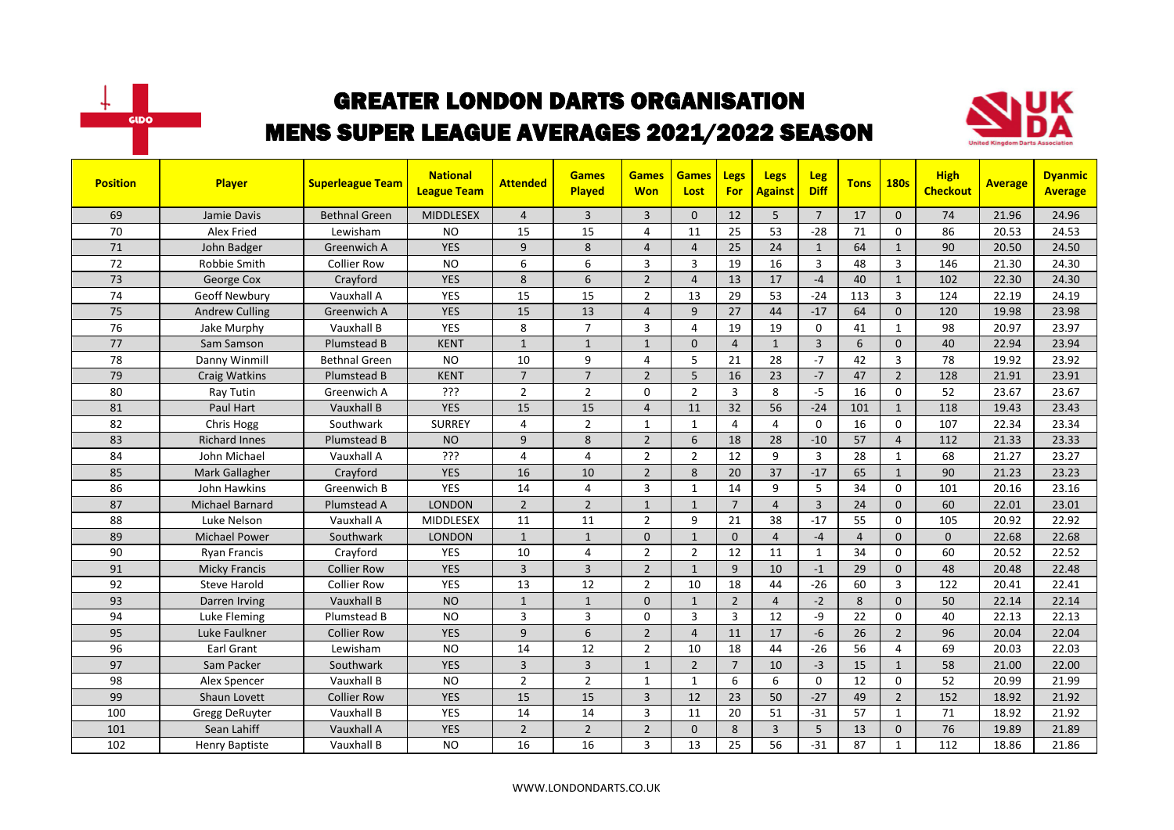



| <b>Position</b> | Player                | <b>Superleague Team</b> | <b>National</b><br><b>League Team</b> | <b>Attended</b> | <b>Games</b><br>Played | <b>Games</b><br><b>Won</b> | <b>Games</b><br>Lost | Legs<br><b>For</b> | <b>Legs</b><br><b>Against</b> | <b>Leg</b><br><b>Diff</b> | <b>Tons</b>    | <b>180s</b>    | <b>High</b><br><b>Checkout</b> | <b>Average</b> | <b>Dyanmic</b><br><b>Average</b> |
|-----------------|-----------------------|-------------------------|---------------------------------------|-----------------|------------------------|----------------------------|----------------------|--------------------|-------------------------------|---------------------------|----------------|----------------|--------------------------------|----------------|----------------------------------|
| 69              | Jamie Davis           | <b>Bethnal Green</b>    | <b>MIDDLESEX</b>                      | $\overline{4}$  | $\overline{3}$         | 3                          | $\mathbf{0}$         | 12                 | 5                             | $\overline{7}$            | 17             | $\Omega$       | 74                             | 21.96          | 24.96                            |
| 70              | Alex Fried            | Lewisham                | <b>NO</b>                             | 15              | 15                     | 4                          | 11                   | 25                 | 53                            | $-28$                     | 71             | $\Omega$       | 86                             | 20.53          | 24.53                            |
| 71              | John Badger           | Greenwich A             | <b>YES</b>                            | 9               | 8                      | $\overline{4}$             | $\overline{4}$       | 25                 | 24                            | $\mathbf{1}$              | 64             | $\mathbf{1}$   | 90                             | 20.50          | 24.50                            |
| 72              | Robbie Smith          | <b>Collier Row</b>      | <b>NO</b>                             | 6               | 6                      | 3                          | $\overline{3}$       | 19                 | 16                            | $\overline{3}$            | 48             | $\overline{3}$ | 146                            | 21.30          | 24.30                            |
| 73              | George Cox            | Crayford                | <b>YES</b>                            | 8               | 6                      | $\overline{2}$             | $\overline{4}$       | 13                 | 17                            | $-4$                      | 40             | $\mathbf{1}$   | 102                            | 22.30          | 24.30                            |
| 74              | Geoff Newbury         | Vauxhall A              | <b>YES</b>                            | 15              | 15                     | $\overline{2}$             | 13                   | 29                 | 53                            | $-24$                     | 113            | $\overline{3}$ | 124                            | 22.19          | 24.19                            |
| 75              | <b>Andrew Culling</b> | Greenwich A             | <b>YES</b>                            | 15              | 13                     | $\overline{4}$             | 9                    | 27                 | 44                            | $-17$                     | 64             | $\mathbf{0}$   | 120                            | 19.98          | 23.98                            |
| 76              | Jake Murphy           | Vauxhall B              | <b>YES</b>                            | 8               | $\overline{7}$         | 3                          | $\overline{4}$       | 19                 | 19                            | $\mathbf 0$               | 41             | $\mathbf{1}$   | 98                             | 20.97          | 23.97                            |
| 77              | Sam Samson            | Plumstead B             | <b>KENT</b>                           | $\mathbf{1}$    | $\mathbf{1}$           | $\mathbf{1}$               | $\Omega$             | $\overline{4}$     | $\mathbf{1}$                  | $\overline{3}$            | 6              | $\Omega$       | 40                             | 22.94          | 23.94                            |
| 78              | Danny Winmill         | <b>Bethnal Green</b>    | <b>NO</b>                             | 10              | 9                      | 4                          | 5                    | 21                 | 28                            | $-7$                      | 42             | $\overline{3}$ | 78                             | 19.92          | 23.92                            |
| 79              | <b>Craig Watkins</b>  | Plumstead B             | <b>KENT</b>                           | $\overline{7}$  | $\overline{7}$         | $\overline{2}$             | 5                    | 16                 | 23                            | $-7$                      | 47             | $\overline{2}$ | 128                            | 21.91          | 23.91                            |
| 80              | Ray Tutin             | Greenwich A             | ???                                   | $\overline{2}$  | $\overline{2}$         | 0                          | $\overline{2}$       | 3                  | 8                             | $-5$                      | 16             | $\Omega$       | 52                             | 23.67          | 23.67                            |
| 81              | Paul Hart             | Vauxhall B              | <b>YES</b>                            | 15              | 15                     | $\overline{4}$             | 11                   | 32                 | 56                            | $-24$                     | 101            | $\mathbf{1}$   | 118                            | 19.43          | 23.43                            |
| 82              | Chris Hogg            | Southwark               | <b>SURREY</b>                         | 4               | $\overline{2}$         | $\mathbf{1}$               | $\mathbf{1}$         | 4                  | 4                             | $\Omega$                  | 16             | $\Omega$       | 107                            | 22.34          | 23.34                            |
| 83              | <b>Richard Innes</b>  | Plumstead B             | <b>NO</b>                             | 9               | 8                      | $\overline{2}$             | 6                    | 18                 | 28                            | $-10$                     | 57             | $\overline{4}$ | 112                            | 21.33          | 23.33                            |
| 84              | John Michael          | Vauxhall A              | ???                                   | 4               | $\overline{4}$         | $\overline{2}$             | $\overline{2}$       | 12                 | 9                             | 3                         | 28             | $\mathbf{1}$   | 68                             | 21.27          | 23.27                            |
| 85              | Mark Gallagher        | Crayford                | <b>YES</b>                            | 16              | 10                     | $\overline{2}$             | 8                    | 20                 | 37                            | $-17$                     | 65             | $\mathbf{1}$   | 90                             | 21.23          | 23.23                            |
| 86              | John Hawkins          | Greenwich B             | YES                                   | 14              | $\overline{4}$         | 3                          | $\mathbf{1}$         | 14                 | 9                             | 5                         | 34             | $\mathbf 0$    | 101                            | 20.16          | 23.16                            |
| 87              | Michael Barnard       | Plumstead A             | <b>LONDON</b>                         | $\overline{2}$  | $\overline{2}$         | $\mathbf{1}$               | $\mathbf{1}$         | $\overline{7}$     | $\overline{4}$                | $\overline{3}$            | 24             | $\mathbf{0}$   | 60                             | 22.01          | 23.01                            |
| 88              | Luke Nelson           | Vauxhall A              | MIDDLESEX                             | 11              | 11                     | $\overline{2}$             | 9                    | 21                 | 38                            | $-17$                     | 55             | $\mathbf 0$    | 105                            | 20.92          | 22.92                            |
| 89              | Michael Power         | Southwark               | <b>LONDON</b>                         | $\mathbf{1}$    | $\mathbf{1}$           | 0                          | $\mathbf{1}$         | $\mathbf{0}$       | $\overline{4}$                | $-4$                      | $\overline{4}$ | $\mathbf{0}$   | $\mathbf{0}$                   | 22.68          | 22.68                            |
| 90              | <b>Ryan Francis</b>   | Crayford                | <b>YES</b>                            | 10              | $\overline{4}$         | $\overline{2}$             | $\overline{2}$       | 12                 | 11                            | $\mathbf{1}$              | 34             | $\mathbf 0$    | 60                             | 20.52          | 22.52                            |
| 91              | <b>Micky Francis</b>  | <b>Collier Row</b>      | <b>YES</b>                            | $\overline{3}$  | $\overline{3}$         | $\overline{2}$             | $\mathbf{1}$         | 9                  | 10                            | $-1$                      | 29             | $\mathbf{0}$   | 48                             | 20.48          | 22.48                            |
| 92              | <b>Steve Harold</b>   | <b>Collier Row</b>      | <b>YES</b>                            | 13              | 12                     | $\overline{2}$             | 10                   | 18                 | 44                            | $-26$                     | 60             | $\overline{3}$ | 122                            | 20.41          | 22.41                            |
| 93              | Darren Irving         | Vauxhall B              | <b>NO</b>                             | $\mathbf{1}$    | $\mathbf{1}$           | $\mathbf{0}$               | $\mathbf{1}$         | $\overline{2}$     | $\overline{4}$                | $-2$                      | 8              | $\mathbf{0}$   | 50                             | 22.14          | 22.14                            |
| 94              | Luke Fleming          | Plumstead B             | <b>NO</b>                             | 3               | $\overline{3}$         | 0                          | 3                    | $\overline{3}$     | 12                            | -9                        | 22             | $\Omega$       | 40                             | 22.13          | 22.13                            |
| 95              | Luke Faulkner         | <b>Collier Row</b>      | <b>YES</b>                            | 9               | 6                      | $\overline{2}$             | $\overline{4}$       | 11                 | 17                            | $-6$                      | 26             | $\overline{2}$ | 96                             | 20.04          | 22.04                            |
| 96              | Earl Grant            | Lewisham                | <b>NO</b>                             | 14              | 12                     | $\overline{2}$             | 10                   | 18                 | 44                            | $-26$                     | 56             | 4              | 69                             | 20.03          | 22.03                            |
| 97              | Sam Packer            | Southwark               | <b>YES</b>                            | 3               | $\overline{3}$         | $\mathbf{1}$               | $\overline{2}$       | $\overline{7}$     | 10                            | $-3$                      | 15             | $\mathbf{1}$   | 58                             | 21.00          | 22.00                            |
| 98              | Alex Spencer          | Vauxhall B              | <b>NO</b>                             | $\overline{2}$  | $\overline{2}$         | $\mathbf{1}$               | $\mathbf{1}$         | 6                  | 6                             | $\mathbf{0}$              | 12             | $\Omega$       | 52                             | 20.99          | 21.99                            |
| 99              | Shaun Lovett          | <b>Collier Row</b>      | <b>YES</b>                            | 15              | 15                     | $\overline{3}$             | 12                   | 23                 | 50                            | $-27$                     | 49             | $\overline{2}$ | 152                            | 18.92          | 21.92                            |
| 100             | Gregg DeRuyter        | Vauxhall B              | YES                                   | 14              | 14                     | 3                          | 11                   | 20                 | 51                            | $-31$                     | 57             | $\mathbf{1}$   | 71                             | 18.92          | 21.92                            |
| 101             | Sean Lahiff           | Vauxhall A              | <b>YES</b>                            | $\overline{2}$  | $\overline{2}$         | $\overline{2}$             | $\mathbf{0}$         | 8                  | $\overline{3}$                | 5                         | 13             | $\mathbf{0}$   | 76                             | 19.89          | 21.89                            |
| 102             | Henry Baptiste        | Vauxhall B              | <b>NO</b>                             | 16              | 16                     | 3                          | 13                   | 25                 | 56                            | $-31$                     | 87             | $\mathbf{1}$   | 112                            | 18.86          | 21.86                            |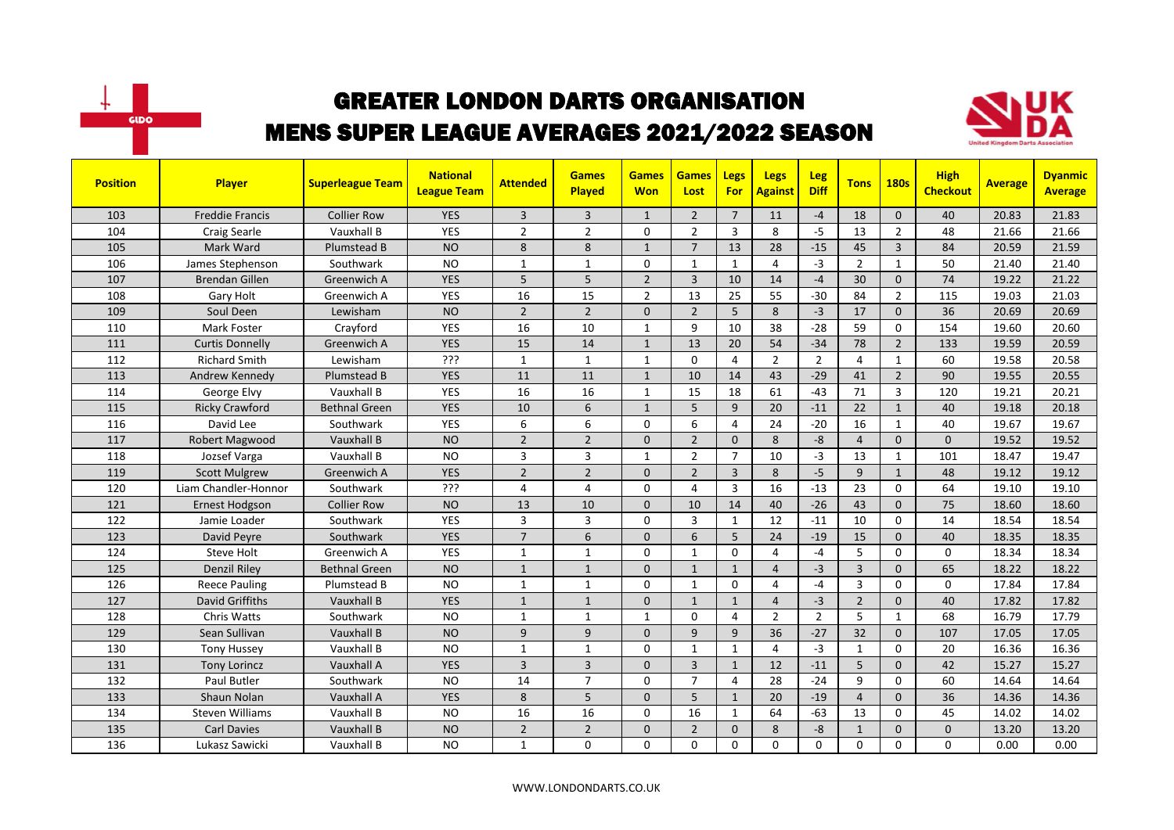



| <b>Position</b> | <b>Player</b>          | <b>Superleague Team</b> | <b>National</b><br><b>League Team</b> | <b>Attended</b> | <b>Games</b><br><b>Played</b> | <b>Games</b><br><b>Won</b> | <b>Games</b><br>Lost | <b>Legs</b><br><b>For</b> | <b>Legs</b><br><b>Against</b> | <b>Leg</b><br><b>Diff</b> | <b>Tons</b>    | <b>180s</b>    | <b>High</b><br><b>Checkout</b> | <b>Average</b> | <b>Dyanmic</b><br><b>Average</b> |
|-----------------|------------------------|-------------------------|---------------------------------------|-----------------|-------------------------------|----------------------------|----------------------|---------------------------|-------------------------------|---------------------------|----------------|----------------|--------------------------------|----------------|----------------------------------|
| 103             | <b>Freddie Francis</b> | <b>Collier Row</b>      | <b>YES</b>                            | 3               | $\overline{3}$                | $\mathbf{1}$               | $\overline{2}$       | $\overline{7}$            | 11                            | $-4$                      | 18             | $\Omega$       | 40                             | 20.83          | 21.83                            |
| 104             | Craig Searle           | Vauxhall B              | <b>YES</b>                            | $\overline{2}$  | $\overline{2}$                | 0                          | $\overline{2}$       | 3                         | 8                             | $-5$                      | 13             | $\overline{2}$ | 48                             | 21.66          | 21.66                            |
| 105             | Mark Ward              | Plumstead B             | <b>NO</b>                             | 8               | 8                             | $\mathbf{1}$               | $\overline{7}$       | 13                        | 28                            | $-15$                     | 45             | $\overline{3}$ | 84                             | 20.59          | 21.59                            |
| 106             | James Stephenson       | Southwark               | <b>NO</b>                             | $\mathbf{1}$    | $\mathbf{1}$                  | 0                          | $\mathbf{1}$         | $\mathbf{1}$              | $\overline{4}$                | $-3$                      | $\overline{2}$ | $\mathbf{1}$   | 50                             | 21.40          | 21.40                            |
| 107             | <b>Brendan Gillen</b>  | Greenwich A             | <b>YES</b>                            | 5               | 5                             | $\overline{2}$             | 3                    | 10                        | 14                            | $-4$                      | 30             | $\mathbf{0}$   | 74                             | 19.22          | 21.22                            |
| 108             | Gary Holt              | Greenwich A             | <b>YES</b>                            | 16              | 15                            | $\overline{2}$             | 13                   | 25                        | 55                            | $-30$                     | 84             | $\overline{2}$ | 115                            | 19.03          | 21.03                            |
| 109             | Soul Deen              | Lewisham                | <b>NO</b>                             | $\overline{2}$  | $\overline{2}$                | $\Omega$                   | $\overline{2}$       | 5                         | 8                             | $-3$                      | 17             | $\mathbf 0$    | 36                             | 20.69          | 20.69                            |
| 110             | Mark Foster            | Crayford                | <b>YES</b>                            | 16              | 10                            | $\mathbf{1}$               | 9                    | 10                        | 38                            | $-28$                     | 59             | 0              | 154                            | 19.60          | 20.60                            |
| 111             | <b>Curtis Donnelly</b> | Greenwich A             | <b>YES</b>                            | 15              | 14                            | $\mathbf{1}$               | 13                   | 20                        | 54                            | $-34$                     | 78             | $\overline{2}$ | 133                            | 19.59          | 20.59                            |
| 112             | <b>Richard Smith</b>   | Lewisham                | ???                                   | $\mathbf{1}$    | $\mathbf{1}$                  | $\mathbf{1}$               | $\Omega$             | $\overline{4}$            | $\overline{2}$                | $\overline{2}$            | $\overline{4}$ | $\mathbf{1}$   | 60                             | 19.58          | 20.58                            |
| 113             | Andrew Kennedy         | Plumstead B             | <b>YES</b>                            | 11              | 11                            | $\mathbf{1}$               | 10                   | 14                        | 43                            | $-29$                     | 41             | $\overline{2}$ | 90                             | 19.55          | 20.55                            |
| 114             | George Elvy            | Vauxhall B              | <b>YES</b>                            | 16              | 16                            | 1                          | 15                   | 18                        | 61                            | $-43$                     | 71             | 3              | 120                            | 19.21          | 20.21                            |
| 115             | <b>Ricky Crawford</b>  | <b>Bethnal Green</b>    | <b>YES</b>                            | 10              | 6                             | $\mathbf{1}$               | 5                    | 9                         | 20                            | $-11$                     | 22             | $\mathbf{1}$   | 40                             | 19.18          | 20.18                            |
| 116             | David Lee              | Southwark               | <b>YES</b>                            | 6               | 6                             | 0                          | 6                    | $\overline{4}$            | 24                            | $-20$                     | 16             | $\mathbf{1}$   | 40                             | 19.67          | 19.67                            |
| 117             | Robert Magwood         | Vauxhall B              | <b>NO</b>                             | $\overline{2}$  | $\overline{2}$                | $\Omega$                   | $\overline{2}$       | $\Omega$                  | 8                             | $-8$                      | $\overline{4}$ | $\Omega$       | $\mathbf{0}$                   | 19.52          | 19.52                            |
| 118             | Jozsef Varga           | Vauxhall B              | <b>NO</b>                             | 3               | 3                             | $\mathbf{1}$               | $\overline{2}$       | $\overline{7}$            | 10                            | $-3$                      | 13             | $\mathbf{1}$   | 101                            | 18.47          | 19.47                            |
| 119             | <b>Scott Mulgrew</b>   | Greenwich A             | <b>YES</b>                            | $\overline{2}$  | $\overline{2}$                | $\Omega$                   | $\overline{2}$       | $\overline{3}$            | 8                             | $-5$                      | 9              | $\mathbf{1}$   | 48                             | 19.12          | 19.12                            |
| 120             | Liam Chandler-Honnor   | Southwark               | ???                                   | 4               | 4                             | 0                          | 4                    | $\overline{3}$            | 16                            | $-13$                     | 23             | $\mathbf 0$    | 64                             | 19.10          | 19.10                            |
| 121             | <b>Ernest Hodgson</b>  | Collier Row             | <b>NO</b>                             | 13              | 10                            | $\Omega$                   | 10                   | 14                        | 40                            | $-26$                     | 43             | $\mathbf{0}$   | 75                             | 18.60          | 18.60                            |
| 122             | Jamie Loader           | Southwark               | YES                                   | 3               | $\overline{3}$                | 0                          | $\overline{3}$       | $\mathbf{1}$              | 12                            | $-11$                     | 10             | $\mathbf 0$    | 14                             | 18.54          | 18.54                            |
| 123             | David Peyre            | Southwark               | <b>YES</b>                            | $\overline{7}$  | 6                             | $\Omega$                   | 6                    | 5 <sup>5</sup>            | 24                            | $-19$                     | 15             | $\Omega$       | 40                             | 18.35          | 18.35                            |
| 124             | <b>Steve Holt</b>      | Greenwich A             | <b>YES</b>                            | $\mathbf{1}$    | $\mathbf{1}$                  | 0                          | 1                    | $\Omega$                  | 4                             | $-4$                      | 5              | 0              | 0                              | 18.34          | 18.34                            |
| 125             | <b>Denzil Riley</b>    | <b>Bethnal Green</b>    | <b>NO</b>                             | $\mathbf{1}$    | $\mathbf{1}$                  | $\Omega$                   | $\mathbf{1}$         | $\mathbf{1}$              | $\overline{4}$                | $-3$                      | $\overline{3}$ | $\Omega$       | 65                             | 18.22          | 18.22                            |
| 126             | <b>Reece Pauling</b>   | Plumstead B             | <b>NO</b>                             | $\mathbf{1}$    | 1                             | 0                          | 1                    | 0                         | 4                             | $-4$                      | 3              | 0              | 0                              | 17.84          | 17.84                            |
| 127             | <b>David Griffiths</b> | Vauxhall B              | <b>YES</b>                            | $\mathbf{1}$    | $\mathbf{1}$                  | $\mathbf{0}$               | $\mathbf{1}$         | $\mathbf{1}$              | $\overline{4}$                | $-3$                      | $\overline{2}$ | $\mathbf{0}$   | 40                             | 17.82          | 17.82                            |
| 128             | Chris Watts            | Southwark               | <b>NO</b>                             | $\mathbf{1}$    | $\mathbf{1}$                  | $\mathbf{1}$               | $\Omega$             | 4                         | $\overline{2}$                | $\overline{2}$            | 5              | $\mathbf{1}$   | 68                             | 16.79          | 17.79                            |
| 129             | Sean Sullivan          | Vauxhall B              | <b>NO</b>                             | 9               | 9                             | $\Omega$                   | 9                    | 9                         | 36                            | $-27$                     | 32             | $\Omega$       | 107                            | 17.05          | 17.05                            |
| 130             | <b>Tony Hussey</b>     | Vauxhall B              | <b>NO</b>                             | $\mathbf{1}$    | $\mathbf{1}$                  | 0                          | 1                    | $\mathbf{1}$              | $\overline{4}$                | $-3$                      | $\mathbf{1}$   | $\Omega$       | 20                             | 16.36          | 16.36                            |
| 131             | <b>Tony Lorincz</b>    | Vauxhall A              | <b>YES</b>                            | $\overline{3}$  | $\overline{3}$                | $\Omega$                   | $\overline{3}$       | $\mathbf{1}$              | 12                            | $-11$                     | 5              | $\Omega$       | 42                             | 15.27          | 15.27                            |
| 132             | Paul Butler            | Southwark               | <b>NO</b>                             | 14              | $\overline{7}$                | 0                          | $\overline{7}$       | 4                         | 28                            | $-24$                     | 9              | $\mathbf 0$    | 60                             | 14.64          | 14.64                            |
| 133             | Shaun Nolan            | Vauxhall A              | <b>YES</b>                            | 8               | 5                             | $\mathbf{0}$               | 5                    | $\mathbf{1}$              | 20                            | $-19$                     | $\overline{4}$ | $\mathbf{0}$   | 36                             | 14.36          | 14.36                            |
| 134             | <b>Steven Williams</b> | Vauxhall B              | <b>NO</b>                             | 16              | 16                            | 0                          | 16                   | $\mathbf{1}$              | 64                            | $-63$                     | 13             | 0              | 45                             | 14.02          | 14.02                            |
| 135             | <b>Carl Davies</b>     | Vauxhall B              | <b>NO</b>                             | $\overline{2}$  | $\overline{2}$                | $\Omega$                   | $\overline{2}$       | $\mathbf{0}$              | 8                             | -8                        | $\mathbf{1}$   | $\Omega$       | $\mathbf{0}$                   | 13.20          | 13.20                            |
| 136             | Lukasz Sawicki         | Vauxhall B              | <b>NO</b>                             | $\mathbf{1}$    | $\Omega$                      | $\Omega$                   | $\Omega$             | $\mathbf 0$               | $\Omega$                      | $\Omega$                  | $\Omega$       | $\Omega$       | $\Omega$                       | 0.00           | 0.00                             |